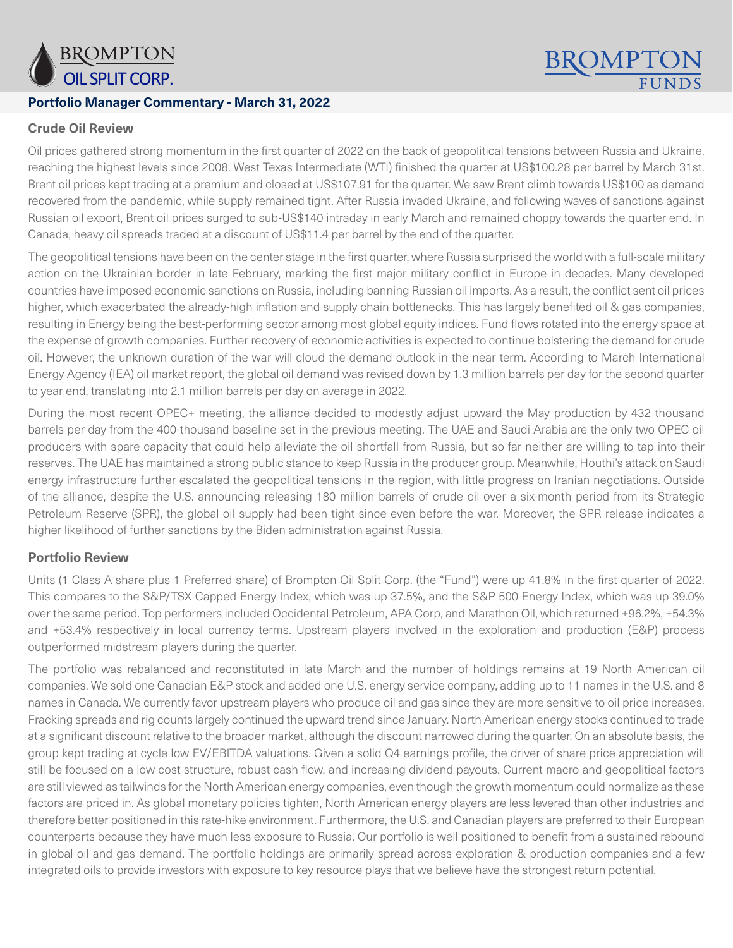

### **Portfolio Manager Commentary - March 31, 2022**

# **BROMPT**

# **Crude Oil Review**

Oil prices gathered strong momentum in the first quarter of 2022 on the back of geopolitical tensions between Russia and Ukraine, reaching the highest levels since 2008. West Texas Intermediate (WTI) finished the quarter at US\$100.28 per barrel by March 31st. Brent oil prices kept trading at a premium and closed at US\$107.91 for the quarter. We saw Brent climb towards US\$100 as demand recovered from the pandemic, while supply remained tight. After Russia invaded Ukraine, and following waves of sanctions against Russian oil export, Brent oil prices surged to sub-US\$140 intraday in early March and remained choppy towards the quarter end. In Canada, heavy oil spreads traded at a discount of US\$11.4 per barrel by the end of the quarter.

The geopolitical tensions have been on the center stage in the first quarter, where Russia surprised the world with a full-scale military action on the Ukrainian border in late February, marking the first major military conflict in Europe in decades. Many developed countries have imposed economic sanctions on Russia, including banning Russian oil imports. As a result, the conflict sent oil prices higher, which exacerbated the already-high inflation and supply chain bottlenecks. This has largely benefited oil & gas companies, resulting in Energy being the best-performing sector among most global equity indices. Fund flows rotated into the energy space at the expense of growth companies. Further recovery of economic activities is expected to continue bolstering the demand for crude oil. However, the unknown duration of the war will cloud the demand outlook in the near term. According to March International Energy Agency (IEA) oil market report, the global oil demand was revised down by 1.3 million barrels per day for the second quarter to year end, translating into 2.1 million barrels per day on average in 2022.

During the most recent OPEC+ meeting, the alliance decided to modestly adjust upward the May production by 432 thousand barrels per day from the 400-thousand baseline set in the previous meeting. The UAE and Saudi Arabia are the only two OPEC oil producers with spare capacity that could help alleviate the oil shortfall from Russia, but so far neither are willing to tap into their reserves. The UAE has maintained a strong public stance to keep Russia in the producer group. Meanwhile, Houthi's attack on Saudi energy infrastructure further escalated the geopolitical tensions in the region, with little progress on Iranian negotiations. Outside of the alliance, despite the U.S. announcing releasing 180 million barrels of crude oil over a six-month period from its Strategic Petroleum Reserve (SPR), the global oil supply had been tight since even before the war. Moreover, the SPR release indicates a higher likelihood of further sanctions by the Biden administration against Russia.

#### **Portfolio Review**

Units (1 Class A share plus 1 Preferred share) of Brompton Oil Split Corp. (the "Fund") were up 41.8% in the first quarter of 2022. This compares to the S&P/TSX Capped Energy Index, which was up 37.5%, and the S&P 500 Energy Index, which was up 39.0% over the same period. Top performers included Occidental Petroleum, APA Corp, and Marathon Oil, which returned +96.2%, +54.3% and +53.4% respectively in local currency terms. Upstream players involved in the exploration and production (E&P) process outperformed midstream players during the quarter.

The portfolio was rebalanced and reconstituted in late March and the number of holdings remains at 19 North American oil companies. We sold one Canadian E&P stock and added one U.S. energy service company, adding up to 11 names in the U.S. and 8 names in Canada. We currently favor upstream players who produce oil and gas since they are more sensitive to oil price increases. Fracking spreads and rig counts largely continued the upward trend since January. North American energy stocks continued to trade at a significant discount relative to the broader market, although the discount narrowed during the quarter. On an absolute basis, the group kept trading at cycle low EV/EBITDA valuations. Given a solid Q4 earnings profile, the driver of share price appreciation will still be focused on a low cost structure, robust cash flow, and increasing dividend payouts. Current macro and geopolitical factors are still viewed as tailwinds for the North American energy companies, even though the growth momentum could normalize as these factors are priced in. As global monetary policies tighten, North American energy players are less levered than other industries and therefore better positioned in this rate-hike environment. Furthermore, the U.S. and Canadian players are preferred to their European counterparts because they have much less exposure to Russia. Our portfolio is well positioned to benefit from a sustained rebound in global oil and gas demand. The portfolio holdings are primarily spread across exploration & production companies and a few integrated oils to provide investors with exposure to key resource plays that we believe have the strongest return potential.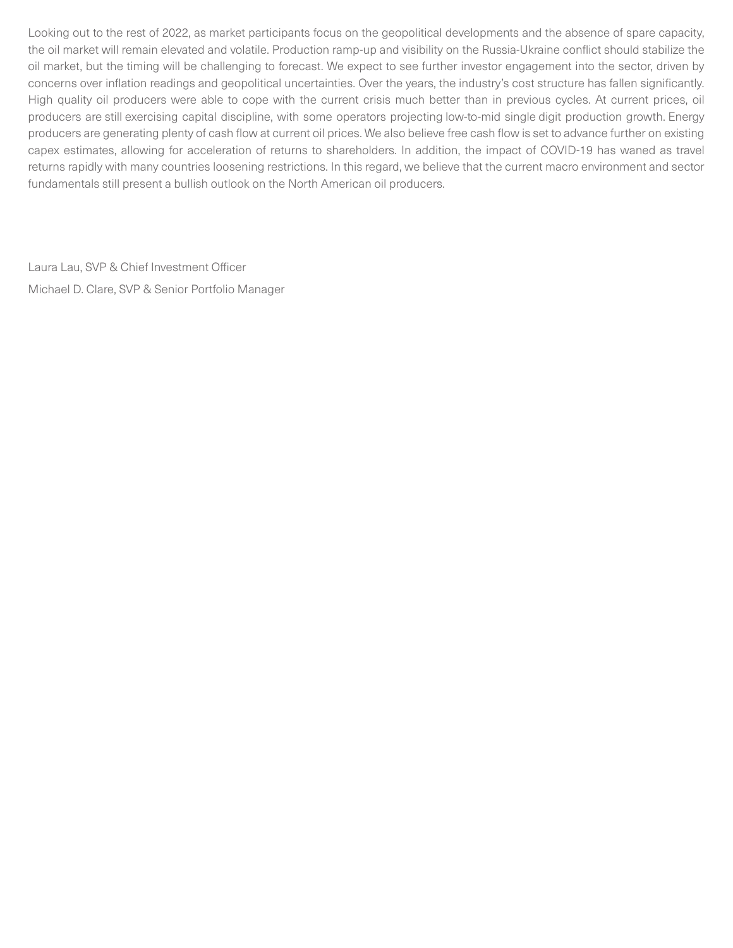Looking out to the rest of 2022, as market participants focus on the geopolitical developments and the absence of spare capacity, the oil market will remain elevated and volatile. Production ramp-up and visibility on the Russia-Ukraine conflict should stabilize the oil market, but the timing will be challenging to forecast. We expect to see further investor engagement into the sector, driven by concerns over inflation readings and geopolitical uncertainties. Over the years, the industry's cost structure has fallen significantly. High quality oil producers were able to cope with the current crisis much better than in previous cycles. At current prices, oil producers are still exercising capital discipline, with some operators projecting low-to-mid single digit production growth. Energy producers are generating plenty of cash flow at current oil prices. We also believe free cash flow is set to advance further on existing capex estimates, allowing for acceleration of returns to shareholders. In addition, the impact of COVID-19 has waned as travel returns rapidly with many countries loosening restrictions. In this regard, we believe that the current macro environment and sector fundamentals still present a bullish outlook on the North American oil producers.

Laura Lau, SVP & Chief Investment Officer Michael D. Clare, SVP & Senior Portfolio Manager